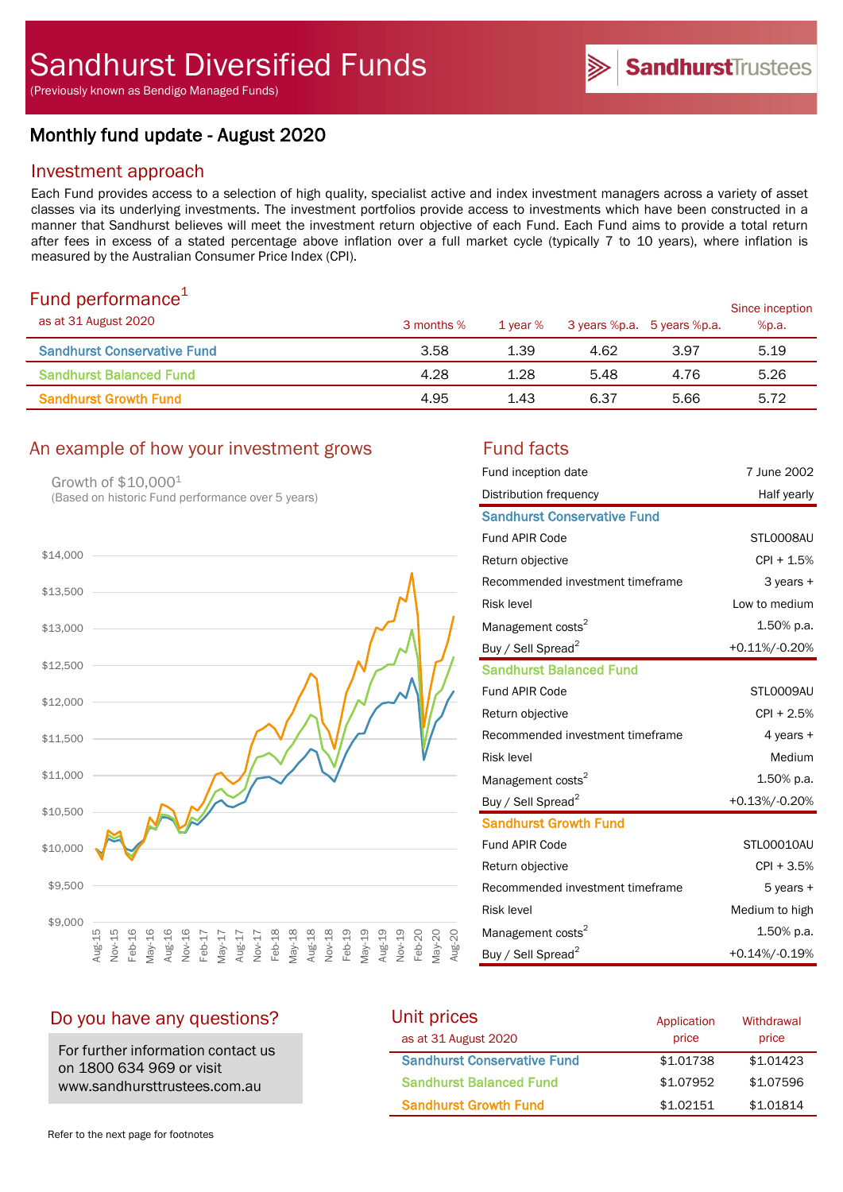(Previously known as Bendigo Managed Funds)

# Monthly fund update - August 2020

# Investment approach

Each Fund provides access to a selection of high quality, specialist active and index investment managers across a variety of asset classes via its underlying investments. The investment portfolios provide access to investments which have been constructed in a manner that Sandhurst believes will meet the investment return objective of each Fund. Each Fund aims to provide a total return after fees in excess of a stated percentage above inflation over a full market cycle (typically 7 to 10 years), where inflation is measured by the Australian Consumer Price Index (CPI).

# Fund performance $1$

| .9.1.9.9.0.00.000.000.0000<br>as at 31 August 2020 | 3 months % | 1 vear % | 3 years %p.a. 5 years %p.a. |      | Since inception<br>%p.a. |
|----------------------------------------------------|------------|----------|-----------------------------|------|--------------------------|
| <b>Sandhurst Conservative Fund</b>                 | 3.58       | 1.39     | 4.62                        | 3.97 | 5.19                     |
| <b>Sandhurst Balanced Fund</b>                     | 4.28       | 1.28     | 5.48                        | 4.76 | 5.26                     |
| <b>Sandhurst Growth Fund</b>                       | 4.95       | 1.43     | 6.37                        | 5.66 | 5.72                     |

# An example of how your investment grows Fund facts

Growth of \$10,0001 (Based on historic Fund performance over 5 years)



| Fund inception date                | 7 June 2002    |
|------------------------------------|----------------|
| Distribution frequency             | Half yearly    |
| <b>Sandhurst Conservative Fund</b> |                |
| <b>Fund APIR Code</b>              | STL0008AU      |
| Return objective                   | CPI + 1.5%     |
| Recommended investment timeframe   | $3$ years $+$  |
| <b>Risk level</b>                  | Low to medium  |
| Management costs <sup>2</sup>      | 1.50% p.a.     |
| Buy / Sell Spread <sup>2</sup>     | +0.11%/-0.20%  |
| <b>Sandhurst Balanced Fund</b>     |                |
| <b>Fund APIR Code</b>              | STL0009AU      |
| Return objective                   | $CPI + 2.5%$   |
| Recommended investment timeframe   | 4 years $+$    |
| <b>Risk level</b>                  | Medium         |
| Management costs <sup>2</sup>      | 1.50% p.a.     |
| Buy / Sell Spread <sup>2</sup>     | +0.13%/-0.20%  |
| <b>Sandhurst Growth Fund</b>       |                |
| <b>Fund APIR Code</b>              | STL00010AU     |
| Return objective                   | $CPI + 3.5%$   |
| Recommended investment timeframe   | 5 years +      |
| <b>Risk level</b>                  | Medium to high |
| Management costs <sup>2</sup>      | 1.50% p.a.     |
| Buy / Sell Spread <sup>2</sup>     | +0.14%/-0.19%  |

# Do you have any questions?

For further information contact us on 1800 634 969 or visit www.sandhursttrustees.com.au

| Unit prices                        | Application | Withdrawal |  |
|------------------------------------|-------------|------------|--|
| as at 31 August 2020               | price       | price      |  |
| <b>Sandhurst Conservative Fund</b> | \$1,01738   | \$1,01423  |  |
| <b>Sandhurst Balanced Fund</b>     | \$1,07952   | \$1,07596  |  |
| <b>Sandhurst Growth Fund</b>       | \$1.02151   | \$1,01814  |  |